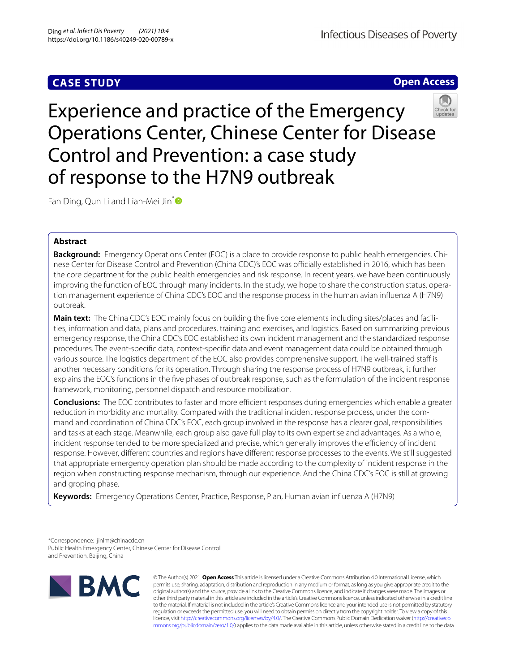# **CASE STUDY**

**Infectious Diseases of Poverty** 

# **Open Access**



Experience and practice of the Emergency Operations Center, Chinese Center for Disease Control and Prevention: a case study of response to the H7N9 outbreak

Fan Ding, Qun Li and Lian-Mei Jin<sup>[\\*](http://orcid.org/0000-0002-6874-9259)</sup>

# **Abstract**

**Background:** Emergency Operations Center (EOC) is a place to provide response to public health emergencies. Chi‑ nese Center for Disease Control and Prevention (China CDC)'s EOC was officially established in 2016, which has been the core department for the public health emergencies and risk response. In recent years, we have been continuously improving the function of EOC through many incidents. In the study, we hope to share the construction status, operation management experience of China CDC's EOC and the response process in the human avian infuenza A (H7N9) outbreak.

**Main text:** The China CDC's EOC mainly focus on building the five core elements including sites/places and facilities, information and data, plans and procedures, training and exercises, and logistics. Based on summarizing previous emergency response, the China CDC's EOC established its own incident management and the standardized response procedures. The event-specifc data, context-specifc data and event management data could be obtained through various source. The logistics department of the EOC also provides comprehensive support. The well-trained staf is another necessary conditions for its operation. Through sharing the response process of H7N9 outbreak, it further explains the EOC's functions in the fve phases of outbreak response, such as the formulation of the incident response framework, monitoring, personnel dispatch and resource mobilization.

**Conclusions:** The EOC contributes to faster and more efficient responses during emergencies which enable a greater reduction in morbidity and mortality. Compared with the traditional incident response process, under the command and coordination of China CDC's EOC, each group involved in the response has a clearer goal, responsibilities and tasks at each stage. Meanwhile, each group also gave full play to its own expertise and advantages. As a whole, incident response tended to be more specialized and precise, which generally improves the efficiency of incident response. However, diferent countries and regions have diferent response processes to the events. We still suggested that appropriate emergency operation plan should be made according to the complexity of incident response in the region when constructing response mechanism, through our experience. And the China CDC's EOC is still at growing and groping phase.

**Keywords:** Emergency Operations Center, Practice, Response, Plan, Human avian infuenza A (H7N9)

\*Correspondence: jinlm@chinacdc.cn Public Health Emergency Center, Chinese Center for Disease Control and Prevention, Beijing, China



© The Author(s) 2021. **Open Access** This article is licensed under a Creative Commons Attribution 4.0 International License, which permits use, sharing, adaptation, distribution and reproduction in any medium or format, as long as you give appropriate credit to the original author(s) and the source, provide a link to the Creative Commons licence, and indicate if changes were made. The images or other third party material in this article are included in the article's Creative Commons licence, unless indicated otherwise in a credit line to the material. If material is not included in the article's Creative Commons licence and your intended use is not permitted by statutory regulation or exceeds the permitted use, you will need to obtain permission directly from the copyright holder. To view a copy of this licence, visit [http://creativecommons.org/licenses/by/4.0/.](http://creativecommons.org/licenses/by/4.0/) The Creative Commons Public Domain Dedication waiver ([http://creativeco](http://creativecommons.org/publicdomain/zero/1.0/) [mmons.org/publicdomain/zero/1.0/](http://creativecommons.org/publicdomain/zero/1.0/)) applies to the data made available in this article, unless otherwise stated in a credit line to the data.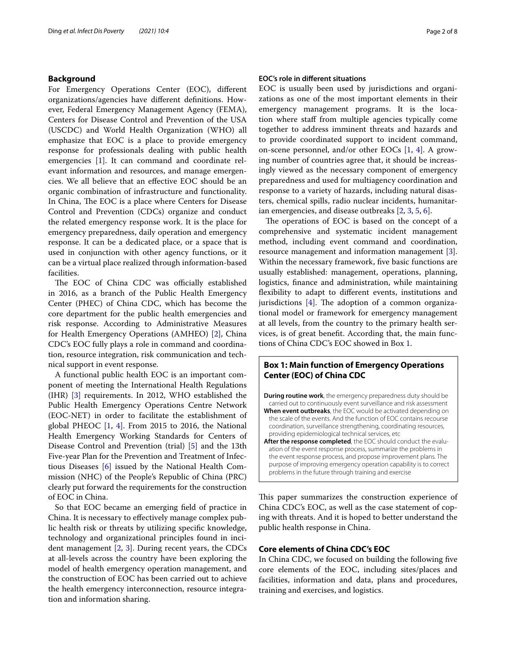## **Background**

For Emergency Operations Center (EOC), diferent organizations/agencies have diferent defnitions. However, Federal Emergency Management Agency (FEMA), Centers for Disease Control and Prevention of the USA (USCDC) and World Health Organization (WHO) all emphasize that EOC is a place to provide emergency response for professionals dealing with public health emergencies [[1\]](#page-6-0). It can command and coordinate relevant information and resources, and manage emergencies. We all believe that an efective EOC should be an organic combination of infrastructure and functionality. In China, The EOC is a place where Centers for Disease Control and Prevention (CDCs) organize and conduct the related emergency response work. It is the place for emergency preparedness, daily operation and emergency response. It can be a dedicated place, or a space that is used in conjunction with other agency functions, or it can be a virtual place realized through information-based facilities.

The EOC of China CDC was officially established in 2016, as a branch of the Public Health Emergency Center (PHEC) of China CDC, which has become the core department for the public health emergencies and risk response. According to Administrative Measures for Health Emergency Operations (AMHEO) [\[2\]](#page-6-1), China CDC's EOC fully plays a role in command and coordination, resource integration, risk communication and technical support in event response.

A functional public health EOC is an important component of meeting the International Health Regulations (IHR) [\[3](#page-6-2)] requirements. In 2012, WHO established the Public Health Emergency Operations Centre Network (EOC-NET) in order to facilitate the establishment of global PHEOC [[1,](#page-6-0) [4\]](#page-6-3). From 2015 to 2016, the National Health Emergency Working Standards for Centers of Disease Control and Prevention (trial) [[5\]](#page-6-4) and the 13th Five-year Plan for the Prevention and Treatment of Infectious Diseases [\[6](#page-6-5)] issued by the National Health Commission (NHC) of the People's Republic of China (PRC) clearly put forward the requirements for the construction of EOC in China.

So that EOC became an emerging feld of practice in China. It is necessary to efectively manage complex public health risk or threats by utilizing specifc knowledge, technology and organizational principles found in incident management  $[2, 3]$  $[2, 3]$  $[2, 3]$  $[2, 3]$ . During recent years, the CDCs at all-levels across the country have been exploring the model of health emergency operation management, and the construction of EOC has been carried out to achieve the health emergency interconnection, resource integration and information sharing.

# **EOC's role in diferent situations**

EOC is usually been used by jurisdictions and organizations as one of the most important elements in their emergency management programs. It is the location where staff from multiple agencies typically come together to address imminent threats and hazards and to provide coordinated support to incident command, on-scene personnel, and/or other EOCs [\[1](#page-6-0), [4\]](#page-6-3). A growing number of countries agree that, it should be increasingly viewed as the necessary component of emergency preparedness and used for multiagency coordination and response to a variety of hazards, including natural disasters, chemical spills, radio nuclear incidents, humanitarian emergencies, and disease outbreaks [\[2](#page-6-1), [3](#page-6-2), [5,](#page-6-4) [6](#page-6-5)].

The operations of EOC is based on the concept of a comprehensive and systematic incident management method, including event command and coordination, resource management and information management [\[3](#page-6-2)]. Within the necessary framework, fve basic functions are usually established: management, operations, planning, logistics, fnance and administration, while maintaining fexibility to adapt to diferent events, institutions and jurisdictions  $[4]$  $[4]$ . The adoption of a common organizational model or framework for emergency management at all levels, from the country to the primary health services, is of great beneft. According that, the main functions of China CDC's EOC showed in Box [1](#page-1-0).

# <span id="page-1-0"></span>**Box 1: Main function of Emergency Operations Center (EOC) of China CDC**

**During routine work**, the emergency preparedness duty should be carried out to continuously event surveillance and risk assessment **When event outbreaks**, the EOC would be activated depending on the scale of the events. And the function of EOC contains recourse coordination, surveillance strengthening, coordinating resources, providing epidemiological technical services, etc

After the response completed, the EOC should conduct the evaluation of the event response process, summarize the problems in the event response process, and propose improvement plans. The purpose of improving emergency operation capability is to correct problems in the future through training and exercise

This paper summarizes the construction experience of China CDC's EOC, as well as the case statement of coping with threats. And it is hoped to better understand the public health response in China.

# **Core elements of China CDC's EOC**

In China CDC, we focused on building the following fve core elements of the EOC, including sites/places and facilities, information and data, plans and procedures, training and exercises, and logistics.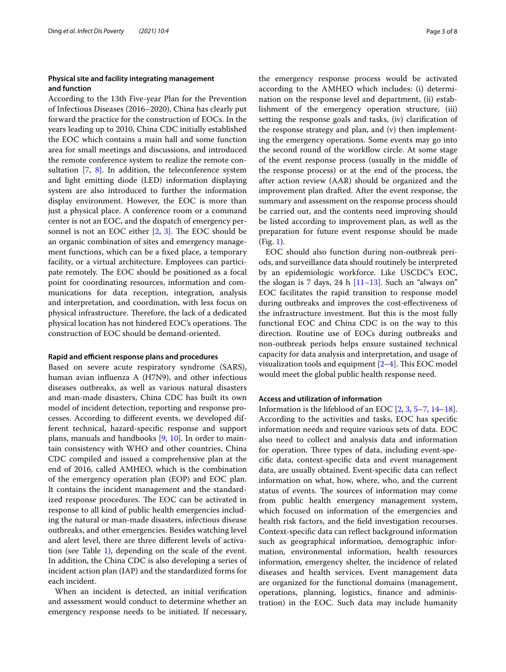# **Physical site and facility integrating management and function**

According to the 13th Five-year Plan for the Prevention of Infectious Diseases (2016–2020), China has clearly put forward the practice for the construction of EOCs. In the years leading up to 2010, China CDC initially established the EOC which contains a main hall and some function area for small meetings and discussions, and introduced the remote conference system to realize the remote consultation [\[7](#page-7-0), [8\]](#page-7-1). In addition, the teleconference system and light emitting diode (LED) information displaying system are also introduced to further the information display environment. However, the EOC is more than just a physical place. A conference room or a command center is not an EOC, and the dispatch of emergency personnel is not an EOC either  $[2, 3]$  $[2, 3]$  $[2, 3]$  $[2, 3]$ . The EOC should be an organic combination of sites and emergency management functions, which can be a fxed place, a temporary facility, or a virtual architecture. Employees can participate remotely. The EOC should be positioned as a focal point for coordinating resources, information and communications for data reception, integration, analysis and interpretation, and coordination, with less focus on physical infrastructure. Therefore, the lack of a dedicated physical location has not hindered EOC's operations. The construction of EOC should be demand-oriented.

#### **Rapid and efficient response plans and procedures**

Based on severe acute respiratory syndrome (SARS), human avian infuenza A (H7N9), and other infectious diseases outbreaks, as well as various natural disasters and man-made disasters, China CDC has built its own model of incident detection, reporting and response processes. According to diferent events, we developed different technical, hazard-specifc response and support plans, manuals and handbooks [\[9,](#page-7-2) [10\]](#page-7-3). In order to maintain consistency with WHO and other countries, China CDC compiled and issued a comprehensive plan at the end of 2016, called AMHEO, which is the combination of the emergency operation plan (EOP) and EOC plan. It contains the incident management and the standardized response procedures. The EOC can be activated in response to all kind of public health emergencies including the natural or man-made disasters, infectious disease outbreaks, and other emergencies. Besides watching level and alert level, there are three diferent levels of activa-tion (see Table [1](#page-3-0)), depending on the scale of the event. In addition, the China CDC is also developing a series of incident action plan (IAP) and the standardized forms for each incident.

When an incident is detected, an initial verifcation and assessment would conduct to determine whether an emergency response needs to be initiated. If necessary, the emergency response process would be activated according to the AMHEO which includes: (i) determination on the response level and department, (ii) establishment of the emergency operation structure, (iii) setting the response goals and tasks, (iv) clarifcation of the response strategy and plan, and (v) then implementing the emergency operations. Some events may go into the second round of the workflow circle. At some stage of the event response process (usually in the middle of the response process) or at the end of the process, the after action review (AAR) should be organized and the improvement plan drafted. After the event response, the summary and assessment on the response process should be carried out, and the contents need improving should be listed according to improvement plan, as well as the preparation for future event response should be made (Fig. [1\)](#page-3-1).

EOC should also function during non-outbreak periods, and surveillance data should routinely be interpreted by an epidemiologic workforce. Like USCDC's EOC, the slogan is 7 days, 24 h  $[11-13]$  $[11-13]$ . Such an "always on" EOC facilitates the rapid transition to response model during outbreaks and improves the cost-efectiveness of the infrastructure investment. But this is the most fully functional EOC and China CDC is on the way to this direction. Routine use of EOCs during outbreaks and non-outbreak periods helps ensure sustained technical capacity for data analysis and interpretation, and usage of visualization tools and equipment  $[2-4]$  $[2-4]$  $[2-4]$ . This EOC model would meet the global public health response need.

## **Access and utilization of information**

Information is the lifeblood of an EOC [\[2](#page-6-1), [3,](#page-6-2) [5](#page-6-4)[–7,](#page-7-0) [14](#page-7-6)[–18](#page-7-7)]. According to the activities and tasks, EOC has specifc information needs and require various sets of data. EOC also need to collect and analysis data and information for operation. Three types of data, including event-specifc data, context-specifc data and event management data, are usually obtained. Event-specifc data can refect information on what, how, where, who, and the current status of events. The sources of information may come from public health emergency management system, which focused on information of the emergencies and health risk factors, and the feld investigation recourses. Context-specifc data can refect background information such as geographical information, demographic information, environmental information, health resources information, emergency shelter, the incidence of related diseases and health services. Event management data are organized for the functional domains (management, operations, planning, logistics, fnance and administration) in the EOC. Such data may include humanity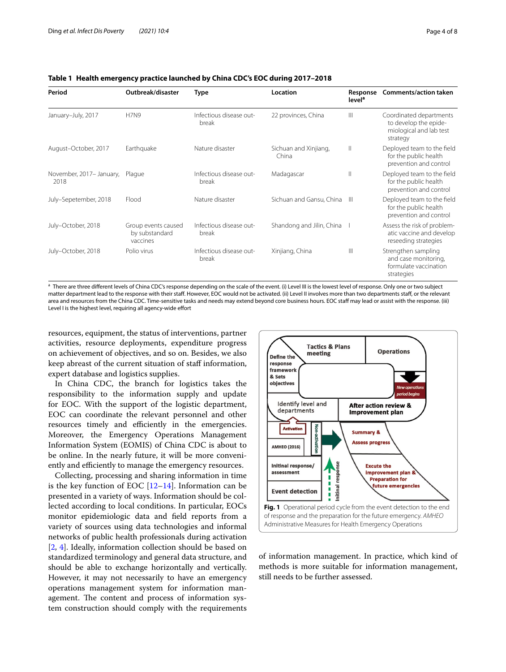| Period                           | Outbreak/disaster                                 | <b>Type</b>                      | Location                       | Response<br>level <sup>a</sup> | <b>Comments/action taken</b>                                                            |
|----------------------------------|---------------------------------------------------|----------------------------------|--------------------------------|--------------------------------|-----------------------------------------------------------------------------------------|
| January-July, 2017               | <b>H7N9</b>                                       | Infectious disease out-<br>break | 22 provinces, China            | $\mathbb{H}$                   | Coordinated departments<br>to develop the epide-<br>miological and lab test<br>strategy |
| August-October, 2017             | Earthquake                                        | Nature disaster                  | Sichuan and Xinjiang,<br>China | $\mathbb{I}$                   | Deployed team to the field<br>for the public health<br>prevention and control           |
| November, 2017- January,<br>2018 | Plague                                            | Infectious disease out-<br>break | Madagascar                     | $\mathbb{I}$                   | Deployed team to the field<br>for the public health<br>prevention and control           |
| July-Sepetember, 2018            | Flood                                             | Nature disaster                  | Sichuan and Gansu, China       | $\mathbb{H}$                   | Deployed team to the field<br>for the public health<br>prevention and control           |
| July-October, 2018               | Group events caused<br>by substandard<br>vaccines | Infectious disease out-<br>break | Shandong and Jilin, China      |                                | Assess the risk of problem-<br>atic vaccine and develop<br>reseeding strategies         |
| July-October, 2018               | Polio virus                                       | Infectious disease out-<br>break | Xinjiang, China                | $\mathbb{H}$                   | Strengthen sampling<br>and case monitoring,<br>formulate vaccination<br>strategies      |

# <span id="page-3-0"></span>**Table 1 Health emergency practice launched by China CDC's EOC during 2017–2018**

a There are three different levels of China CDC's response depending on the scale of the event. (i) Level III is the lowest level of response. Only one or two subject matter department lead to the response with their staff. However, EOC would not be activated. (ii) Level II involves more than two departments staff, or the relevant area and resources from the China CDC. Time-sensitive tasks and needs may extend beyond core business hours. EOC staff may lead or assist with the response. (iii) Level I is the highest level, requiring all agency-wide effort

resources, equipment, the status of interventions, partner activities, resource deployments, expenditure progress on achievement of objectives, and so on. Besides, we also keep abreast of the current situation of staf information, expert database and logistics supplies.

In China CDC, the branch for logistics takes the responsibility to the information supply and update for EOC. With the support of the logistic department, EOC can coordinate the relevant personnel and other resources timely and efficiently in the emergencies. Moreover, the Emergency Operations Management Information System (EOMIS) of China CDC is about to be online. In the nearly future, it will be more conveniently and efficiently to manage the emergency resources.

Collecting, processing and sharing information in time is the key function of EOC  $[12-14]$  $[12-14]$ . Information can be presented in a variety of ways. Information should be collected according to local conditions. In particular, EOCs monitor epidemiologic data and feld reports from a variety of sources using data technologies and informal networks of public health professionals during activation [[2,](#page-6-1) [4\]](#page-6-3). Ideally, information collection should be based on standardized terminology and general data structure, and should be able to exchange horizontally and vertically. However, it may not necessarily to have an emergency operations management system for information management. The content and process of information system construction should comply with the requirements



<span id="page-3-1"></span>of information management. In practice, which kind of methods is more suitable for information management, still needs to be further assessed.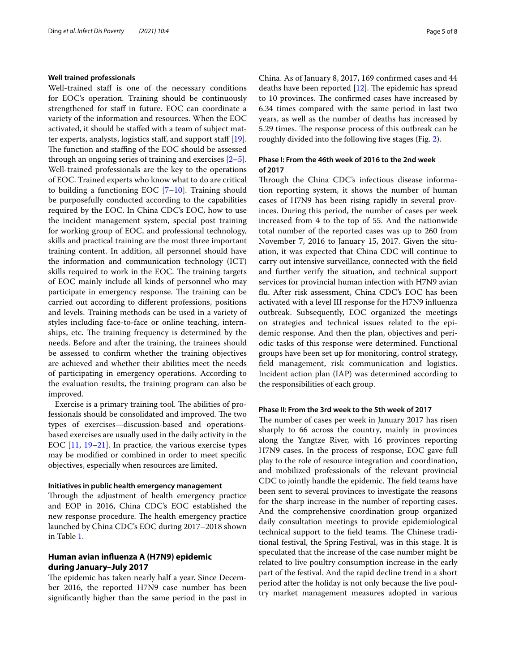### **Well trained professionals**

Well-trained staff is one of the necessary conditions for EOC's operation. Training should be continuously strengthened for staff in future. EOC can coordinate a variety of the information and resources. When the EOC activated, it should be stafed with a team of subject mat-ter experts, analysts, logistics staff, and support staff [\[19](#page-7-9)]. The function and staffing of the EOC should be assessed through an ongoing series of training and exercises [\[2](#page-6-1)[–5](#page-6-4)]. Well-trained professionals are the key to the operations of EOC. Trained experts who know what to do are critical to building a functioning EOC  $[7-10]$  $[7-10]$ . Training should be purposefully conducted according to the capabilities required by the EOC. In China CDC's EOC, how to use the incident management system, special post training for working group of EOC, and professional technology, skills and practical training are the most three important training content. In addition, all personnel should have the information and communication technology (ICT) skills required to work in the EOC. The training targets of EOC mainly include all kinds of personnel who may participate in emergency response. The training can be carried out according to diferent professions, positions and levels. Training methods can be used in a variety of styles including face-to-face or online teaching, internships, etc. The training frequency is determined by the needs. Before and after the training, the trainees should be assessed to confrm whether the training objectives are achieved and whether their abilities meet the needs of participating in emergency operations. According to the evaluation results, the training program can also be improved.

Exercise is a primary training tool. The abilities of professionals should be consolidated and improved. The two types of exercises—discussion-based and operationsbased exercises are usually used in the daily activity in the EOC [\[11](#page-7-4), [19–](#page-7-9)[21](#page-7-10)]. In practice, the various exercise types may be modifed or combined in order to meet specifc objectives, especially when resources are limited.

### **Initiatives in public health emergency management**

Through the adjustment of health emergency practice and EOP in 2016, China CDC's EOC established the new response procedure. The health emergency practice launched by China CDC's EOC during 2017–2018 shown in Table [1](#page-3-0).

# **Human avian infuenza A (H7N9) epidemic during January–July 2017**

The epidemic has taken nearly half a year. Since December 2016, the reported H7N9 case number has been signifcantly higher than the same period in the past in China. As of January 8, 2017, 169 confrmed cases and 44 deaths have been reported  $[12]$  $[12]$ . The epidemic has spread to 10 provinces. The confirmed cases have increased by 6.34 times compared with the same period in last two years, as well as the number of deaths has increased by 5.29 times. The response process of this outbreak can be roughly divided into the following fve stages (Fig. [2](#page-5-0)).

# **Phase I: From the 46th week of 2016 to the 2nd week of 2017**

Through the China CDC's infectious disease information reporting system, it shows the number of human cases of H7N9 has been rising rapidly in several provinces. During this period, the number of cases per week increased from 4 to the top of 55. And the nationwide total number of the reported cases was up to 260 from November 7, 2016 to January 15, 2017. Given the situation, it was expected that China CDC will continue to carry out intensive surveillance, connected with the feld and further verify the situation, and technical support services for provincial human infection with H7N9 avian fu. After risk assessment, China CDC's EOC has been activated with a level III response for the H7N9 infuenza outbreak. Subsequently, EOC organized the meetings on strategies and technical issues related to the epidemic response. And then the plan, objectives and periodic tasks of this response were determined. Functional groups have been set up for monitoring, control strategy, feld management, risk communication and logistics. Incident action plan (IAP) was determined according to the responsibilities of each group.

### **Phase II: From the 3rd week to the 5th week of 2017**

The number of cases per week in January 2017 has risen sharply to 66 across the country, mainly in provinces along the Yangtze River, with 16 provinces reporting H7N9 cases. In the process of response, EOC gave full play to the role of resource integration and coordination, and mobilized professionals of the relevant provincial CDC to jointly handle the epidemic. The field teams have been sent to several provinces to investigate the reasons for the sharp increase in the number of reporting cases. And the comprehensive coordination group organized daily consultation meetings to provide epidemiological technical support to the field teams. The Chinese traditional festival, the Spring Festival, was in this stage. It is speculated that the increase of the case number might be related to live poultry consumption increase in the early part of the festival. And the rapid decline trend in a short period after the holiday is not only because the live poultry market management measures adopted in various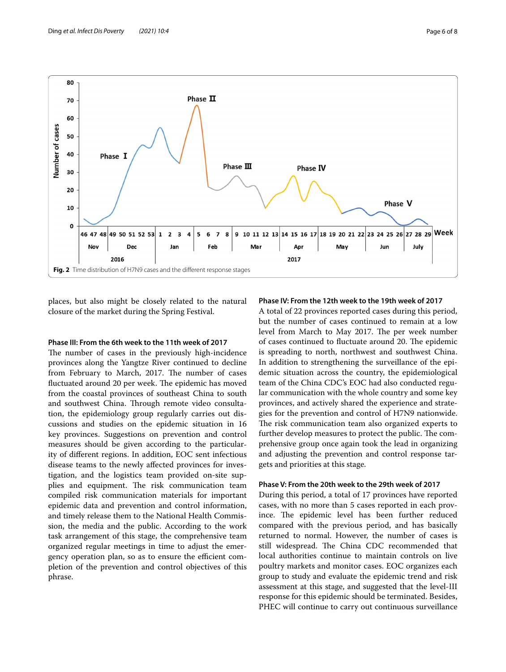

<span id="page-5-0"></span>places, but also might be closely related to the natural closure of the market during the Spring Festival.

## **Phase III: From the 6th week to the 11th week of 2017**

The number of cases in the previously high-incidence provinces along the Yangtze River continued to decline from February to March, 2017. The number of cases fluctuated around 20 per week. The epidemic has moved from the coastal provinces of southeast China to south and southwest China. Through remote video consultation, the epidemiology group regularly carries out discussions and studies on the epidemic situation in 16 key provinces. Suggestions on prevention and control measures should be given according to the particularity of diferent regions. In addition, EOC sent infectious disease teams to the newly afected provinces for investigation, and the logistics team provided on-site supplies and equipment. The risk communication team compiled risk communication materials for important epidemic data and prevention and control information, and timely release them to the National Health Commission, the media and the public. According to the work task arrangement of this stage, the comprehensive team organized regular meetings in time to adjust the emergency operation plan, so as to ensure the efficient completion of the prevention and control objectives of this phrase.

### **Phase IV: From the 12th week to the 19th week of 2017**

A total of 22 provinces reported cases during this period, but the number of cases continued to remain at a low level from March to May 2017. The per week number of cases continued to fluctuate around 20. The epidemic is spreading to north, northwest and southwest China. In addition to strengthening the surveillance of the epidemic situation across the country, the epidemiological team of the China CDC's EOC had also conducted regular communication with the whole country and some key provinces, and actively shared the experience and strategies for the prevention and control of H7N9 nationwide. The risk communication team also organized experts to further develop measures to protect the public. The comprehensive group once again took the lead in organizing and adjusting the prevention and control response targets and priorities at this stage.

# **Phase V: From the 20th week to the 29th week of 2017**

During this period, a total of 17 provinces have reported cases, with no more than 5 cases reported in each province. The epidemic level has been further reduced compared with the previous period, and has basically returned to normal. However, the number of cases is still widespread. The China CDC recommended that local authorities continue to maintain controls on live poultry markets and monitor cases. EOC organizes each group to study and evaluate the epidemic trend and risk assessment at this stage, and suggested that the level-III response for this epidemic should be terminated. Besides, PHEC will continue to carry out continuous surveillance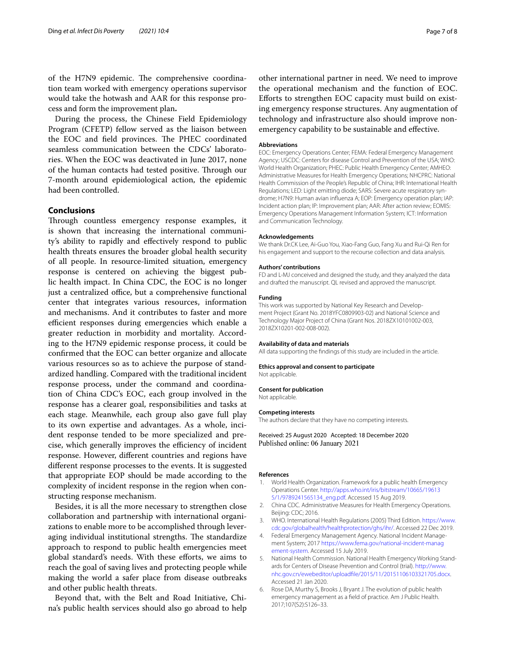of the H7N9 epidemic. The comprehensive coordination team worked with emergency operations supervisor would take the hotwash and AAR for this response process and form the improvement plan**.**

During the process, the Chinese Field Epidemiology Program (CFETP) fellow served as the liaison between the EOC and field provinces. The PHEC coordinated seamless communication between the CDCs' laboratories. When the EOC was deactivated in June 2017, none of the human contacts had tested positive. Through our 7-month around epidemiological action, the epidemic had been controlled.

## **Conclusions**

Through countless emergency response examples, it is shown that increasing the international community's ability to rapidly and efectively respond to public health threats ensures the broader global health security of all people. In resource-limited situation, emergency response is centered on achieving the biggest public health impact. In China CDC, the EOC is no longer just a centralized office, but a comprehensive functional center that integrates various resources, information and mechanisms. And it contributes to faster and more efficient responses during emergencies which enable a greater reduction in morbidity and mortality. According to the H7N9 epidemic response process, it could be confrmed that the EOC can better organize and allocate various resources so as to achieve the purpose of standardized handling. Compared with the traditional incident response process, under the command and coordination of China CDC's EOC, each group involved in the response has a clearer goal, responsibilities and tasks at each stage. Meanwhile, each group also gave full play to its own expertise and advantages. As a whole, incident response tended to be more specialized and precise, which generally improves the efficiency of incident response. However, diferent countries and regions have diferent response processes to the events. It is suggested that appropriate EOP should be made according to the complexity of incident response in the region when constructing response mechanism.

Besides, it is all the more necessary to strengthen close collaboration and partnership with international organizations to enable more to be accomplished through leveraging individual institutional strengths. The standardize approach to respond to public health emergencies meet global standard's needs. With these eforts, we aims to reach the goal of saving lives and protecting people while making the world a safer place from disease outbreaks and other public health threats.

Beyond that, with the Belt and Road Initiative, China's public health services should also go abroad to help

other international partner in need. We need to improve the operational mechanism and the function of EOC. Eforts to strengthen EOC capacity must build on existing emergency response structures. Any augmentation of technology and infrastructure also should improve nonemergency capability to be sustainable and efective.

#### **Abbreviations**

EOC: Emergency Operations Center; FEMA: Federal Emergency Management Agency; USCDC: Centers for disease Control and Prevention of the USA; WHO: World Health Organization; PHEC: Public Health Emergency Center; AMHEO: Administrative Measures for Health Emergency Operations; NHCPRC: National Health Commission of the People's Republic of China; IHR: International Health Regulations; LED: Light emitting diode; SARS: Severe acute respiratory syndrome; H7N9: Human avian infuenza A; EOP: Emergency operation plan; IAP: Incident action plan; IP: Improvement plan; AAR: After action review; EOMIS: Emergency Operations Management Information System; ICT: Information and Communication Technology.

#### **Acknowledgements**

We thank Dr.CK Lee, Ai-Guo You, Xiao-Fang Guo, Fang Xu and Rui-Qi Ren for his engagement and support to the recourse collection and data analysis.

#### **Authors' contributions**

FD and L-MJ conceived and designed the study, and they analyzed the data and drafted the manuscript. QL revised and approved the manuscript.

#### **Funding**

This work was supported by National Key Research and Development Project (Grant No. 2018YFC0809903-02) and National Science and Technology Major Project of China (Grant Nos. 2018ZX10101002-003, 2018ZX10201-002-008-002).

#### **Availability of data and materials**

All data supporting the fndings of this study are included in the article.

#### **Ethics approval and consent to participate**

Not applicable.

#### **Consent for publication**

Not applicable.

#### **Competing interests**

The authors declare that they have no competing interests.

Received: 25 August 2020 Accepted: 18 December 2020 Published online: 06 January 2021

#### **References**

- <span id="page-6-0"></span>1. World Health Organization. Framework for a public health Emergency Operations Center. [http://apps.who.int/iris/bitstream/10665/19613](http://apps.who.int/iris/bitstream/10665/196135/1/9789241565134_eng.pdf) [5/1/9789241565134\\_eng.pdf.](http://apps.who.int/iris/bitstream/10665/196135/1/9789241565134_eng.pdf) Accessed 15 Aug 2019.
- <span id="page-6-1"></span>2. China CDC. Administrative Measures for Health Emergency Operations. Beijing: CDC; 2016.
- <span id="page-6-2"></span>3. WHO. International Health Regulations (2005) Third Edition. [https://www.](https://www.cdc.gov/globalhealth/healthprotection/ghs/ihr/) [cdc.gov/globalhealth/healthprotection/ghs/ihr/](https://www.cdc.gov/globalhealth/healthprotection/ghs/ihr/). Accessed 22 Dec 2019.
- <span id="page-6-3"></span>4. Federal Emergency Management Agency. National Incident Management System; 2017 [https://www.fema.gov/national-incident-manag](https://www.fema.gov/national-incident-management-system) [ement-system.](https://www.fema.gov/national-incident-management-system) Accessed 15 July 2019.
- <span id="page-6-4"></span>5. National Health Commission. National Health Emergency Working Standards for Centers of Disease Prevention and Control (trial). [http://www.](http://www.nhc.gov.cn/ewebeditor/uploadfile/2015/11/20151106103321705.docx) [nhc.gov.cn/ewebeditor/uploadfle/2015/11/20151106103321705.docx](http://www.nhc.gov.cn/ewebeditor/uploadfile/2015/11/20151106103321705.docx). Accessed 21 Jan 2020.
- <span id="page-6-5"></span>6. Rose DA, Murthy S, Brooks J, Bryant J. The evolution of public health emergency management as a feld of practice. Am J Public Health. 2017;107(S2):S126–33.